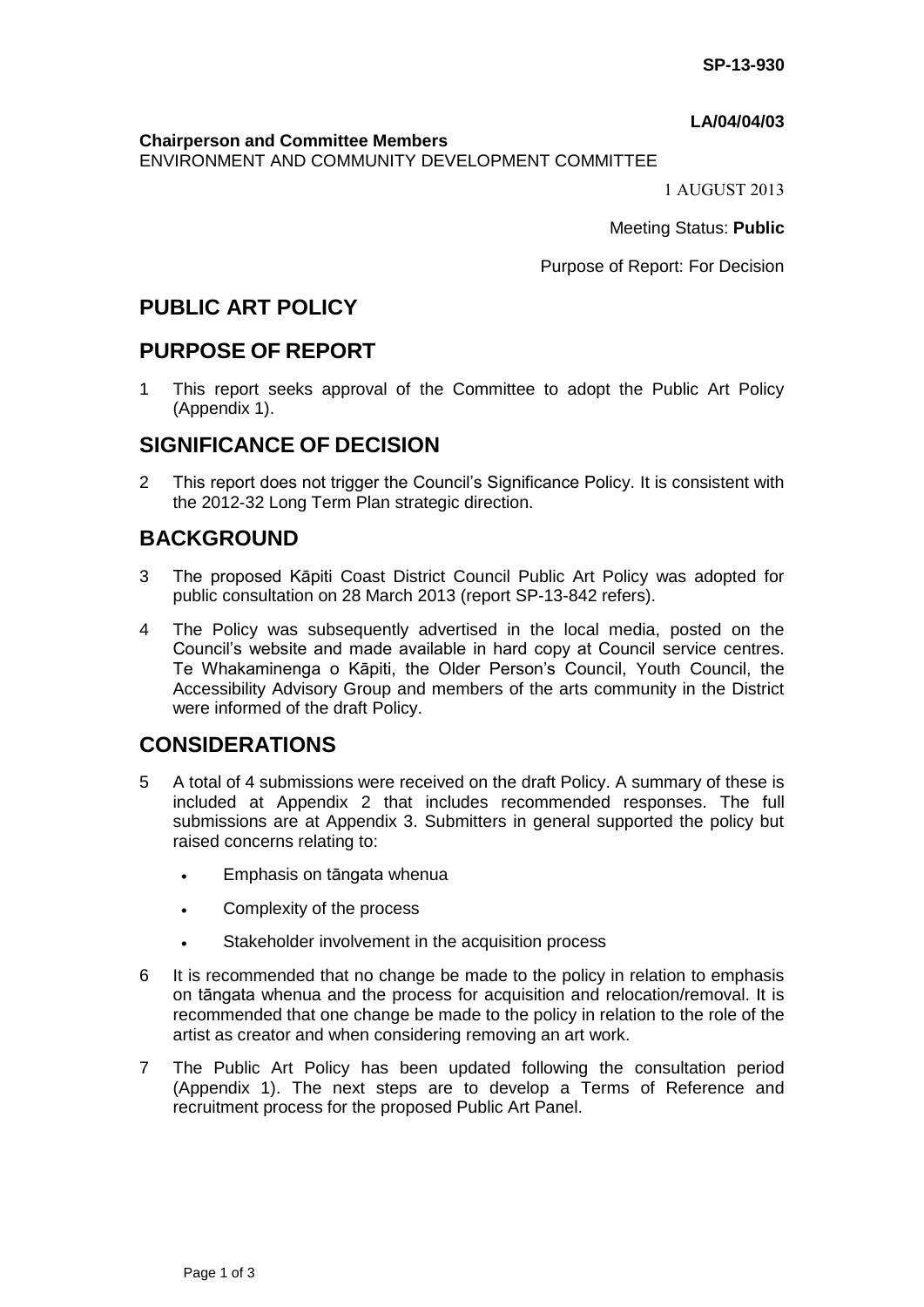### **LA/04/04/03**

**Chairperson and Committee Members**

ENVIRONMENT AND COMMUNITY DEVELOPMENT COMMITTEE

1 AUGUST 2013

Meeting Status: **Public**

Purpose of Report: For Decision

# **PUBLIC ART POLICY**

## **PURPOSE OF REPORT**

1 This report seeks approval of the Committee to adopt the Public Art Policy (Appendix 1).

# **SIGNIFICANCE OF DECISION**

2 This report does not trigger the Council's Significance Policy. It is consistent with the 2012-32 Long Term Plan strategic direction.

# **BACKGROUND**

- 3 The proposed Kāpiti Coast District Council Public Art Policy was adopted for public consultation on 28 March 2013 (report SP-13-842 refers).
- 4 The Policy was subsequently advertised in the local media, posted on the Council's website and made available in hard copy at Council service centres. Te Whakaminenga o Kāpiti, the Older Person's Council, Youth Council, the Accessibility Advisory Group and members of the arts community in the District were informed of the draft Policy.

# **CONSIDERATIONS**

- 5 A total of 4 submissions were received on the draft Policy. A summary of these is included at Appendix 2 that includes recommended responses. The full submissions are at Appendix 3. Submitters in general supported the policy but raised concerns relating to:
	- Emphasis on tāngata whenua
	- Complexity of the process
	- Stakeholder involvement in the acquisition process
- 6 It is recommended that no change be made to the policy in relation to emphasis on tāngata whenua and the process for acquisition and relocation/removal. It is recommended that one change be made to the policy in relation to the role of the artist as creator and when considering removing an art work.
- 7 The Public Art Policy has been updated following the consultation period (Appendix 1). The next steps are to develop a Terms of Reference and recruitment process for the proposed Public Art Panel.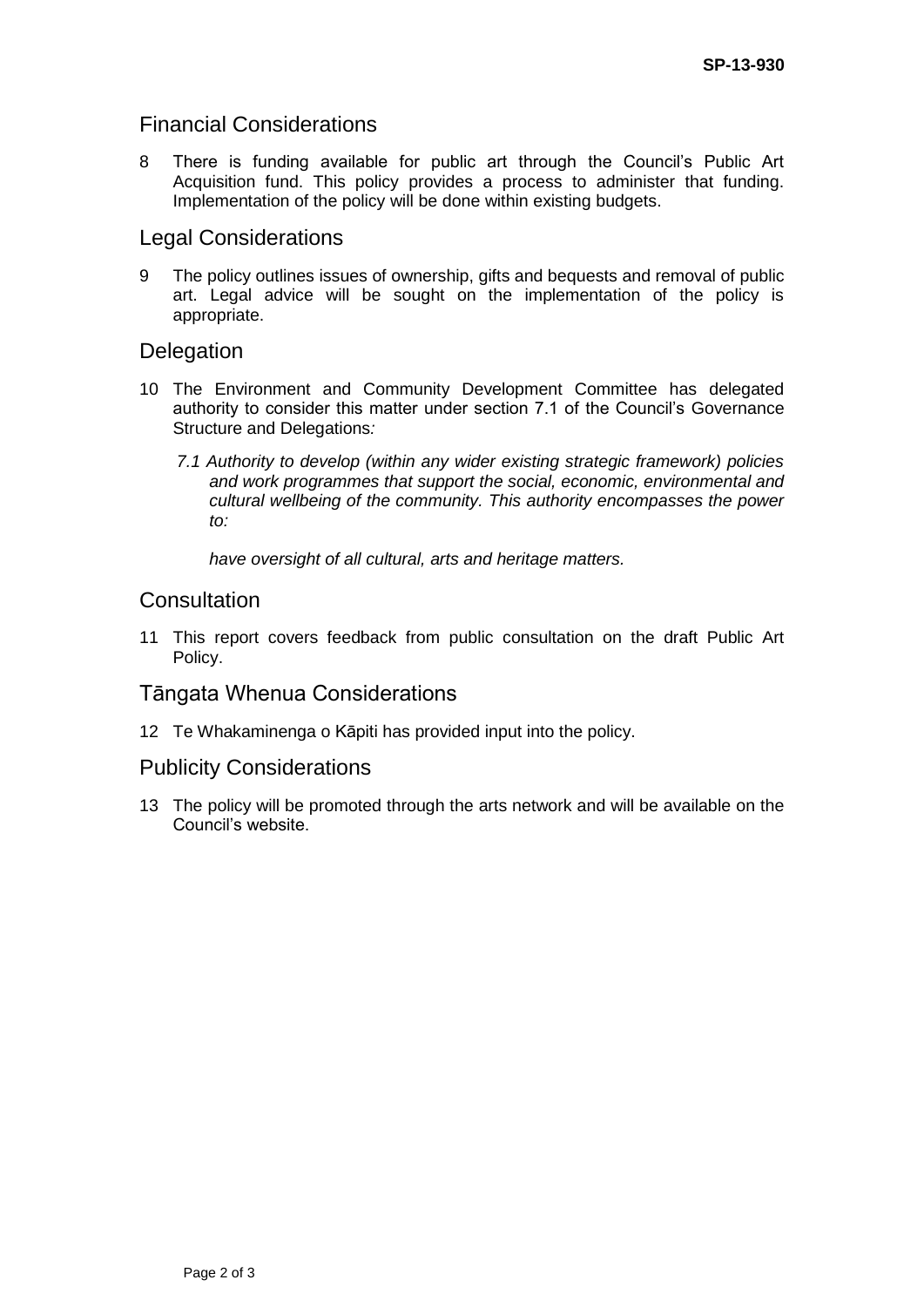## Financial Considerations

8 There is funding available for public art through the Council's Public Art Acquisition fund. This policy provides a process to administer that funding. Implementation of the policy will be done within existing budgets.

## Legal Considerations

9 The policy outlines issues of ownership, gifts and bequests and removal of public art. Legal advice will be sought on the implementation of the policy is appropriate.

## **Delegation**

- 10 The Environment and Community Development Committee has delegated authority to consider this matter under section 7.1 of the Council's Governance Structure and Delegations*:* 
	- *7.1 Authority to develop (within any wider existing strategic framework) policies and work programmes that support the social, economic, environmental and cultural wellbeing of the community. This authority encompasses the power to:*

*have oversight of all cultural, arts and heritage matters.* 

## **Consultation**

11 This report covers feedback from public consultation on the draft Public Art Policy.

### Tāngata Whenua Considerations

12 Te Whakaminenga o Kāpiti has provided input into the policy.

### Publicity Considerations

13 The policy will be promoted through the arts network and will be available on the Council's website.